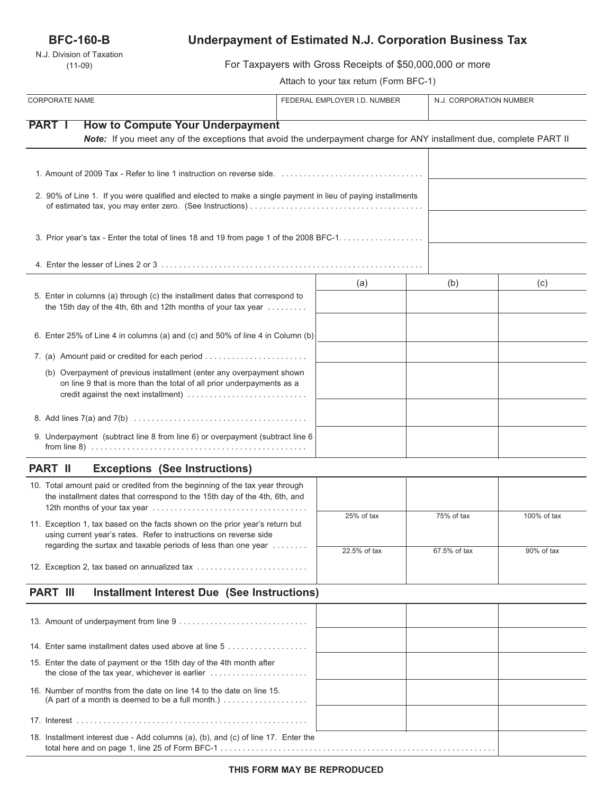## **BFC-160-B**

N.J. Division of Taxation (11-09)

# **Underpayment of Estimated N.J. Corporation Business Tax**

For Taxpayers with Gross Receipts of \$50,000,000 or more

Attach to your tax return (Form BFC-1)

| <b>CORPORATE NAME</b>                                                                                                                                                                 | FEDERAL EMPLOYER I.D. NUMBER | N.J. CORPORATION NUMBER |             |  |
|---------------------------------------------------------------------------------------------------------------------------------------------------------------------------------------|------------------------------|-------------------------|-------------|--|
|                                                                                                                                                                                       |                              |                         |             |  |
| <b>PART I</b><br><b>How to Compute Your Underpayment</b><br>Note: If you meet any of the exceptions that avoid the underpayment charge for ANY installment due, complete PART II      |                              |                         |             |  |
|                                                                                                                                                                                       |                              |                         |             |  |
|                                                                                                                                                                                       |                              |                         |             |  |
| 2. 90% of Line 1. If you were qualified and elected to make a single payment in lieu of paying installments                                                                           |                              |                         |             |  |
| 3. Prior year's tax - Enter the total of lines 18 and 19 from page 1 of the 2008 BFC-1.                                                                                               |                              |                         |             |  |
|                                                                                                                                                                                       |                              |                         |             |  |
|                                                                                                                                                                                       | (a)                          | (b)                     | (c)         |  |
| 5. Enter in columns (a) through (c) the installment dates that correspond to<br>the 15th day of the 4th, 6th and 12th months of your tax year                                         |                              |                         |             |  |
| 6. Enter 25% of Line 4 in columns (a) and (c) and 50% of line 4 in Column (b)                                                                                                         |                              |                         |             |  |
| 7. (a) Amount paid or credited for each period                                                                                                                                        |                              |                         |             |  |
| (b) Overpayment of previous installment (enter any overpayment shown<br>on line 9 that is more than the total of all prior underpayments as a<br>credit against the next installment) |                              |                         |             |  |
|                                                                                                                                                                                       |                              |                         |             |  |
| 9. Underpayment (subtract line 8 from line 6) or overpayment (subtract line 6                                                                                                         |                              |                         |             |  |
| <b>Exceptions (See Instructions)</b><br><b>PART II</b>                                                                                                                                |                              |                         |             |  |
| 10. Total amount paid or credited from the beginning of the tax year through<br>the installment dates that correspond to the 15th day of the 4th, 6th, and                            |                              |                         |             |  |
| 11. Exception 1, tax based on the facts shown on the prior year's return but<br>using current year's rates. Refer to instructions on reverse side                                     | 25% of tax                   | 75% of tax              | 100% of tax |  |
| regarding the surtax and taxable periods of less than one year                                                                                                                        | 22.5% of tax                 | 67.5% of tax            | 90% of tax  |  |
| 12. Exception 2, tax based on annualized tax                                                                                                                                          |                              |                         |             |  |
| <b>PART III</b><br>Installment Interest Due (See Instructions)                                                                                                                        |                              |                         |             |  |
|                                                                                                                                                                                       |                              |                         |             |  |
| 14. Enter same installment dates used above at line 5                                                                                                                                 |                              |                         |             |  |
| 15. Enter the date of payment or the 15th day of the 4th month after                                                                                                                  |                              |                         |             |  |
| 16. Number of months from the date on line 14 to the date on line 15.<br>(A part of a month is deemed to be a full month.) $\ldots \ldots \ldots \ldots \ldots$                       |                              |                         |             |  |
|                                                                                                                                                                                       |                              |                         |             |  |
| 18. Installment interest due - Add columns (a), (b), and (c) of line 17. Enter the                                                                                                    |                              |                         |             |  |

total here and on page 1, line 25 of Form BFC-1 . . . . . . . . . . . . . . . . . . . . . . . . . . . . . . . . . . . . . . . . . . . . . . . . . . . . . . . . . . . . . .